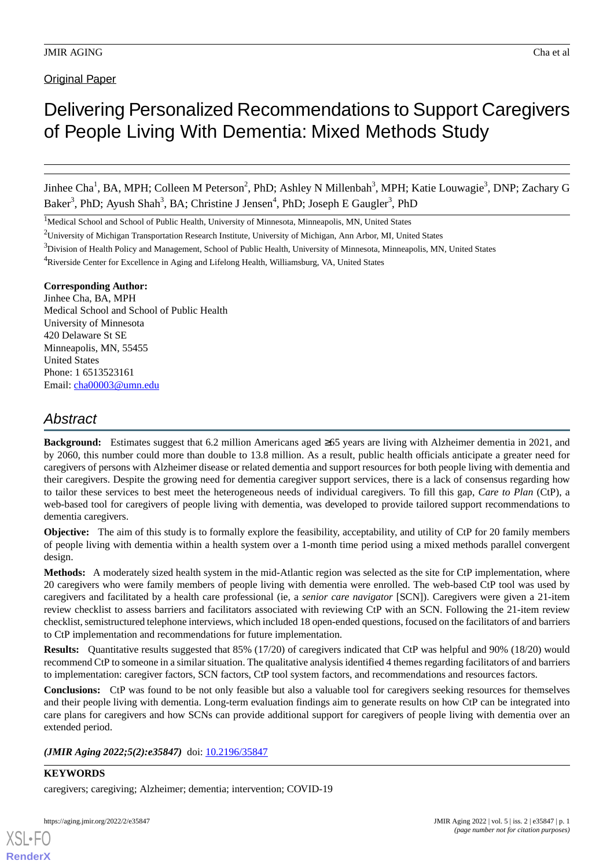Original Paper

# Delivering Personalized Recommendations to Support Caregivers of People Living With Dementia: Mixed Methods Study

Jinhee Cha<sup>1</sup>, BA, MPH; Colleen M Peterson<sup>2</sup>, PhD; Ashley N Millenbah<sup>3</sup>, MPH; Katie Louwagie<sup>3</sup>, DNP; Zachary G Baker<sup>3</sup>, PhD; Ayush Shah<sup>3</sup>, BA; Christine J Jensen<sup>4</sup>, PhD; Joseph E Gaugler<sup>3</sup>, PhD

<sup>1</sup>Medical School and School of Public Health, University of Minnesota, Minneapolis, MN, United States

#### **Corresponding Author:**

Jinhee Cha, BA, MPH Medical School and School of Public Health University of Minnesota 420 Delaware St SE Minneapolis, MN, 55455 United States Phone: 1 6513523161 Email: [cha00003@umn.edu](mailto:cha00003@umn.edu)

# *Abstract*

**Background:** Estimates suggest that 6.2 million Americans aged ≥65 years are living with Alzheimer dementia in 2021, and by 2060, this number could more than double to 13.8 million. As a result, public health officials anticipate a greater need for caregivers of persons with Alzheimer disease or related dementia and support resources for both people living with dementia and their caregivers. Despite the growing need for dementia caregiver support services, there is a lack of consensus regarding how to tailor these services to best meet the heterogeneous needs of individual caregivers. To fill this gap, *Care to Plan* (CtP), a web-based tool for caregivers of people living with dementia, was developed to provide tailored support recommendations to dementia caregivers.

**Objective:** The aim of this study is to formally explore the feasibility, acceptability, and utility of CtP for 20 family members of people living with dementia within a health system over a 1-month time period using a mixed methods parallel convergent design.

**Methods:** A moderately sized health system in the mid-Atlantic region was selected as the site for CtP implementation, where 20 caregivers who were family members of people living with dementia were enrolled. The web-based CtP tool was used by caregivers and facilitated by a health care professional (ie, a *senior care navigator* [SCN]). Caregivers were given a 21-item review checklist to assess barriers and facilitators associated with reviewing CtP with an SCN. Following the 21-item review checklist, semistructured telephone interviews, which included 18 open-ended questions, focused on the facilitators of and barriers to CtP implementation and recommendations for future implementation.

**Results:** Quantitative results suggested that 85% (17/20) of caregivers indicated that CtP was helpful and 90% (18/20) would recommend CtP to someone in a similar situation. The qualitative analysis identified 4 themes regarding facilitators of and barriers to implementation: caregiver factors, SCN factors, CtP tool system factors, and recommendations and resources factors.

**Conclusions:** CtP was found to be not only feasible but also a valuable tool for caregivers seeking resources for themselves and their people living with dementia. Long-term evaluation findings aim to generate results on how CtP can be integrated into care plans for caregivers and how SCNs can provide additional support for caregivers of people living with dementia over an extended period.

*(JMIR Aging 2022;5(2):e35847)* doi: [10.2196/35847](http://dx.doi.org/10.2196/35847)

**KEYWORDS**

[XSL](http://www.w3.org/Style/XSL)•FO **[RenderX](http://www.renderx.com/)**

caregivers; caregiving; Alzheimer; dementia; intervention; COVID-19

<sup>&</sup>lt;sup>2</sup>University of Michigan Transportation Research Institute, University of Michigan, Ann Arbor, MI, United States

 $3$ Division of Health Policy and Management, School of Public Health, University of Minnesota, Minneapolis, MN, United States

<sup>4</sup>Riverside Center for Excellence in Aging and Lifelong Health, Williamsburg, VA, United States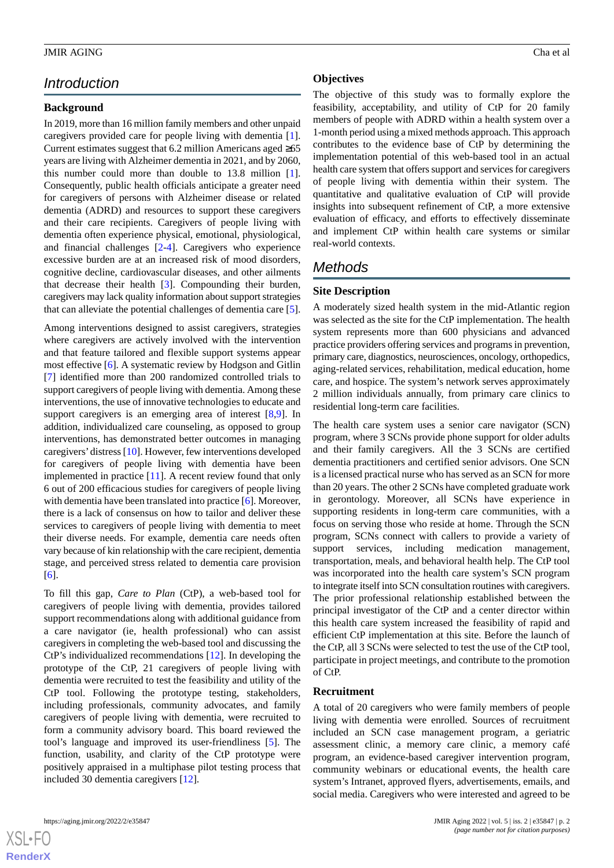# *Introduction*

## **Background**

In 2019, more than 16 million family members and other unpaid caregivers provided care for people living with dementia [[1\]](#page-10-0). Current estimates suggest that 6.2 million Americans aged ≥65 years are living with Alzheimer dementia in 2021, and by 2060, this number could more than double to 13.8 million [[1\]](#page-10-0). Consequently, public health officials anticipate a greater need for caregivers of persons with Alzheimer disease or related dementia (ADRD) and resources to support these caregivers and their care recipients. Caregivers of people living with dementia often experience physical, emotional, physiological, and financial challenges [\[2](#page-10-1)-[4\]](#page-10-2). Caregivers who experience excessive burden are at an increased risk of mood disorders, cognitive decline, cardiovascular diseases, and other ailments that decrease their health [\[3](#page-10-3)]. Compounding their burden, caregivers may lack quality information about support strategies that can alleviate the potential challenges of dementia care [[5\]](#page-11-0).

Among interventions designed to assist caregivers, strategies where caregivers are actively involved with the intervention and that feature tailored and flexible support systems appear most effective [\[6](#page-11-1)]. A systematic review by Hodgson and Gitlin [[7\]](#page-11-2) identified more than 200 randomized controlled trials to support caregivers of people living with dementia. Among these interventions, the use of innovative technologies to educate and support caregivers is an emerging area of interest [\[8,](#page-11-3)[9\]](#page-11-4). In addition, individualized care counseling, as opposed to group interventions, has demonstrated better outcomes in managing caregivers'distress [[10\]](#page-11-5). However, few interventions developed for caregivers of people living with dementia have been implemented in practice [\[11](#page-11-6)]. A recent review found that only 6 out of 200 efficacious studies for caregivers of people living with dementia have been translated into practice [[6\]](#page-11-1). Moreover, there is a lack of consensus on how to tailor and deliver these services to caregivers of people living with dementia to meet their diverse needs. For example, dementia care needs often vary because of kin relationship with the care recipient, dementia stage, and perceived stress related to dementia care provision [[6\]](#page-11-1).

To fill this gap, *Care to Plan* (CtP), a web-based tool for caregivers of people living with dementia, provides tailored support recommendations along with additional guidance from a care navigator (ie, health professional) who can assist caregivers in completing the web-based tool and discussing the CtP's individualized recommendations [\[12](#page-11-7)]. In developing the prototype of the CtP, 21 caregivers of people living with dementia were recruited to test the feasibility and utility of the CtP tool. Following the prototype testing, stakeholders, including professionals, community advocates, and family caregivers of people living with dementia, were recruited to form a community advisory board. This board reviewed the tool's language and improved its user-friendliness [[5\]](#page-11-0). The function, usability, and clarity of the CtP prototype were positively appraised in a multiphase pilot testing process that included 30 dementia caregivers [[12\]](#page-11-7).

#### **Objectives**

The objective of this study was to formally explore the feasibility, acceptability, and utility of CtP for 20 family members of people with ADRD within a health system over a 1-month period using a mixed methods approach. This approach contributes to the evidence base of CtP by determining the implementation potential of this web-based tool in an actual health care system that offers support and services for caregivers of people living with dementia within their system. The quantitative and qualitative evaluation of CtP will provide insights into subsequent refinement of CtP, a more extensive evaluation of efficacy, and efforts to effectively disseminate and implement CtP within health care systems or similar real-world contexts.

# *Methods*

## **Site Description**

A moderately sized health system in the mid-Atlantic region was selected as the site for the CtP implementation. The health system represents more than 600 physicians and advanced practice providers offering services and programs in prevention, primary care, diagnostics, neurosciences, oncology, orthopedics, aging-related services, rehabilitation, medical education, home care, and hospice. The system's network serves approximately 2 million individuals annually, from primary care clinics to residential long-term care facilities.

The health care system uses a senior care navigator (SCN) program, where 3 SCNs provide phone support for older adults and their family caregivers. All the 3 SCNs are certified dementia practitioners and certified senior advisors. One SCN is a licensed practical nurse who has served as an SCN for more than 20 years. The other 2 SCNs have completed graduate work in gerontology. Moreover, all SCNs have experience in supporting residents in long-term care communities, with a focus on serving those who reside at home. Through the SCN program, SCNs connect with callers to provide a variety of support services, including medication management, transportation, meals, and behavioral health help. The CtP tool was incorporated into the health care system's SCN program to integrate itself into SCN consultation routines with caregivers. The prior professional relationship established between the principal investigator of the CtP and a center director within this health care system increased the feasibility of rapid and efficient CtP implementation at this site. Before the launch of the CtP, all 3 SCNs were selected to test the use of the CtP tool, participate in project meetings, and contribute to the promotion of CtP.

#### **Recruitment**

A total of 20 caregivers who were family members of people living with dementia were enrolled. Sources of recruitment included an SCN case management program, a geriatric assessment clinic, a memory care clinic, a memory café program, an evidence-based caregiver intervention program, community webinars or educational events, the health care system's Intranet, approved flyers, advertisements, emails, and social media. Caregivers who were interested and agreed to be

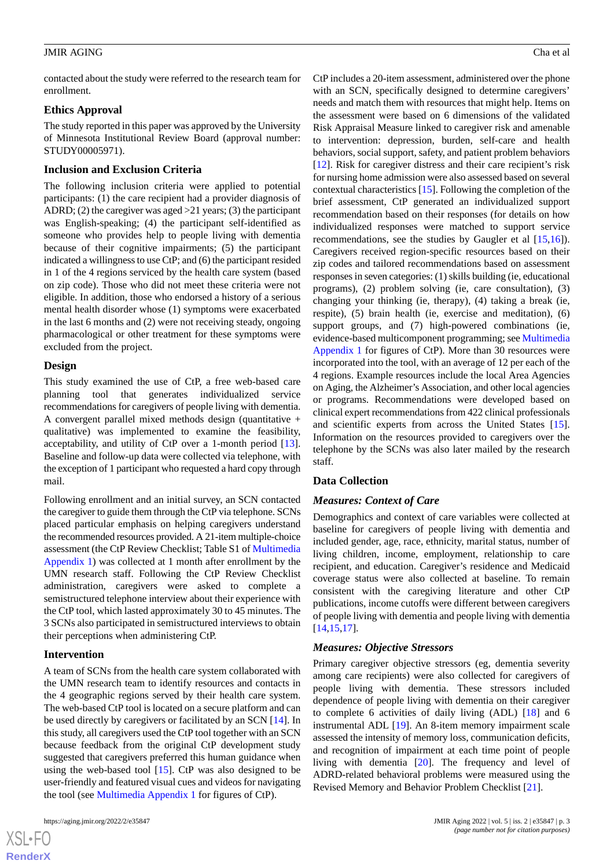contacted about the study were referred to the research team for enrollment.

#### **Ethics Approval**

The study reported in this paper was approved by the University of Minnesota Institutional Review Board (approval number: STUDY00005971).

### **Inclusion and Exclusion Criteria**

The following inclusion criteria were applied to potential participants: (1) the care recipient had a provider diagnosis of ADRD; (2) the caregiver was aged >21 years; (3) the participant was English-speaking; (4) the participant self-identified as someone who provides help to people living with dementia because of their cognitive impairments; (5) the participant indicated a willingness to use CtP; and (6) the participant resided in 1 of the 4 regions serviced by the health care system (based on zip code). Those who did not meet these criteria were not eligible. In addition, those who endorsed a history of a serious mental health disorder whose (1) symptoms were exacerbated in the last 6 months and (2) were not receiving steady, ongoing pharmacological or other treatment for these symptoms were excluded from the project.

#### **Design**

This study examined the use of CtP, a free web-based care planning tool that generates individualized service recommendations for caregivers of people living with dementia. A convergent parallel mixed methods design (quantitative + qualitative) was implemented to examine the feasibility, acceptability, and utility of CtP over a 1-month period [[13\]](#page-11-8). Baseline and follow-up data were collected via telephone, with the exception of 1 participant who requested a hard copy through mail.

Following enrollment and an initial survey, an SCN contacted the caregiver to guide them through the CtP via telephone. SCNs placed particular emphasis on helping caregivers understand the recommended resources provided. A 21-item multiple-choice assessment (the CtP Review Checklist; Table S1 of [Multimedia](#page-10-4) [Appendix 1\)](#page-10-4) was collected at 1 month after enrollment by the UMN research staff. Following the CtP Review Checklist administration, caregivers were asked to complete a semistructured telephone interview about their experience with the CtP tool, which lasted approximately 30 to 45 minutes. The 3 SCNs also participated in semistructured interviews to obtain their perceptions when administering CtP.

#### **Intervention**

A team of SCNs from the health care system collaborated with the UMN research team to identify resources and contacts in the 4 geographic regions served by their health care system. The web-based CtP tool is located on a secure platform and can be used directly by caregivers or facilitated by an SCN [\[14](#page-11-9)]. In this study, all caregivers used the CtP tool together with an SCN because feedback from the original CtP development study suggested that caregivers preferred this human guidance when using the web-based tool [\[15](#page-11-10)]. CtP was also designed to be user-friendly and featured visual cues and videos for navigating the tool (see [Multimedia Appendix 1](#page-10-4) for figures of CtP).

 $XS$  • FO **[RenderX](http://www.renderx.com/)** CtP includes a 20-item assessment, administered over the phone with an SCN, specifically designed to determine caregivers' needs and match them with resources that might help. Items on the assessment were based on 6 dimensions of the validated Risk Appraisal Measure linked to caregiver risk and amenable to intervention: depression, burden, self-care and health behaviors, social support, safety, and patient problem behaviors [[12\]](#page-11-7). Risk for caregiver distress and their care recipient's risk for nursing home admission were also assessed based on several contextual characteristics [\[15](#page-11-10)]. Following the completion of the brief assessment, CtP generated an individualized support recommendation based on their responses (for details on how individualized responses were matched to support service recommendations, see the studies by Gaugler et al [\[15](#page-11-10),[16\]](#page-11-11)). Caregivers received region-specific resources based on their zip codes and tailored recommendations based on assessment responses in seven categories: (1) skills building (ie, educational programs), (2) problem solving (ie, care consultation), (3) changing your thinking (ie, therapy), (4) taking a break (ie, respite), (5) brain health (ie, exercise and meditation), (6) support groups, and (7) high-powered combinations (ie, evidence-based multicomponent programming; see [Multimedia](#page-10-4) [Appendix 1](#page-10-4) for figures of CtP). More than 30 resources were incorporated into the tool, with an average of 12 per each of the 4 regions. Example resources include the local Area Agencies on Aging, the Alzheimer's Association, and other local agencies or programs. Recommendations were developed based on clinical expert recommendations from 422 clinical professionals and scientific experts from across the United States [[15\]](#page-11-10). Information on the resources provided to caregivers over the telephone by the SCNs was also later mailed by the research staff.

#### **Data Collection**

#### *Measures: Context of Care*

Demographics and context of care variables were collected at baseline for caregivers of people living with dementia and included gender, age, race, ethnicity, marital status, number of living children, income, employment, relationship to care recipient, and education. Caregiver's residence and Medicaid coverage status were also collected at baseline. To remain consistent with the caregiving literature and other CtP publications, income cutoffs were different between caregivers of people living with dementia and people living with dementia [[14,](#page-11-9)[15,](#page-11-10)[17\]](#page-11-12).

#### *Measures: Objective Stressors*

Primary caregiver objective stressors (eg, dementia severity among care recipients) were also collected for caregivers of people living with dementia. These stressors included dependence of people living with dementia on their caregiver to complete 6 activities of daily living (ADL) [\[18](#page-11-13)] and 6 instrumental ADL [[19\]](#page-11-14). An 8-item memory impairment scale assessed the intensity of memory loss, communication deficits, and recognition of impairment at each time point of people living with dementia [\[20](#page-11-15)]. The frequency and level of ADRD-related behavioral problems were measured using the Revised Memory and Behavior Problem Checklist [[21\]](#page-11-16).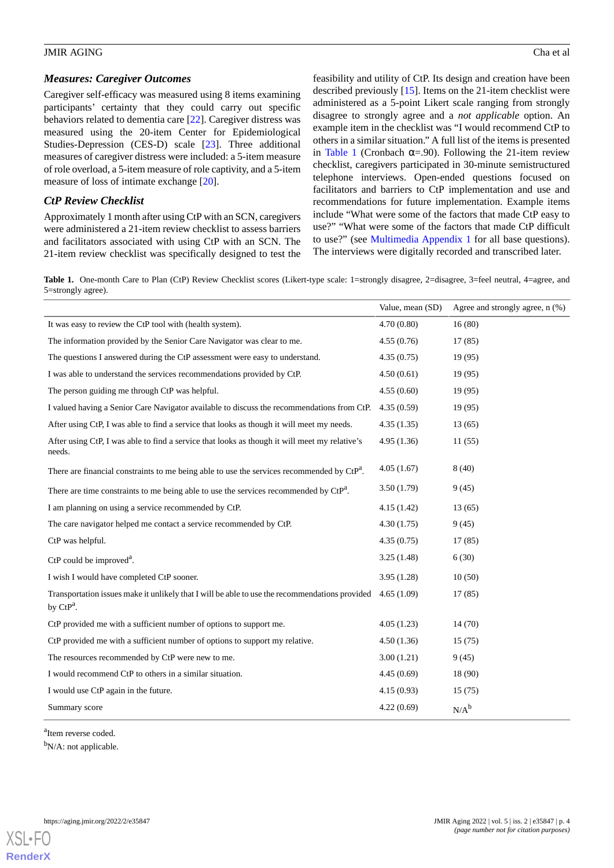#### *Measures: Caregiver Outcomes*

Caregiver self-efficacy was measured using 8 items examining participants' certainty that they could carry out specific behaviors related to dementia care [\[22](#page-11-17)]. Caregiver distress was measured using the 20-item Center for Epidemiological Studies-Depression (CES-D) scale [\[23](#page-11-18)]. Three additional measures of caregiver distress were included: a 5-item measure of role overload, a 5-item measure of role captivity, and a 5-item measure of loss of intimate exchange [[20\]](#page-11-15).

# *CtP Review Checklist*

Approximately 1 month after using CtP with an SCN, caregivers were administered a 21-item review checklist to assess barriers and facilitators associated with using CtP with an SCN. The 21-item review checklist was specifically designed to test the

feasibility and utility of CtP. Its design and creation have been described previously [\[15](#page-11-10)]. Items on the 21-item checklist were administered as a 5-point Likert scale ranging from strongly disagree to strongly agree and a *not applicable* option. An example item in the checklist was "I would recommend CtP to others in a similar situation." A full list of the items is presented in [Table 1](#page-3-0) (Cronbach  $\alpha = .90$ ). Following the 21-item review checklist, caregivers participated in 30-minute semistructured telephone interviews. Open-ended questions focused on facilitators and barriers to CtP implementation and use and recommendations for future implementation. Example items include "What were some of the factors that made CtP easy to use?" "What were some of the factors that made CtP difficult to use?" (see [Multimedia Appendix 1](#page-10-4) for all base questions). The interviews were digitally recorded and transcribed later.

<span id="page-3-0"></span>**Table 1.** One-month Care to Plan (CtP) Review Checklist scores (Likert-type scale: 1=strongly disagree, 2=disagree, 3=feel neutral, 4=agree, and 5=strongly agree).

|                                                                                                                | Value, mean (SD) | Agree and strongly agree, n (%) |
|----------------------------------------------------------------------------------------------------------------|------------------|---------------------------------|
| It was easy to review the CtP tool with (health system).                                                       | 4.70(0.80)       | 16(80)                          |
| The information provided by the Senior Care Navigator was clear to me.                                         | 4.55(0.76)       | 17(85)                          |
| The questions I answered during the CtP assessment were easy to understand.                                    | 4.35(0.75)       | 19(95)                          |
| I was able to understand the services recommendations provided by CtP.                                         | 4.50(0.61)       | 19(95)                          |
| The person guiding me through CtP was helpful.                                                                 | 4.55(0.60)       | 19(95)                          |
| I valued having a Senior Care Navigator available to discuss the recommendations from CtP.                     | 4.35(0.59)       | 19(95)                          |
| After using CtP, I was able to find a service that looks as though it will meet my needs.                      | 4.35(1.35)       | 13(65)                          |
| After using CtP, I was able to find a service that looks as though it will meet my relative's<br>needs.        | 4.95(1.36)       | 11(55)                          |
| There are financial constraints to me being able to use the services recommended by $\text{CtP}^a$ .           | 4.05(1.67)       | 8(40)                           |
| There are time constraints to me being able to use the services recommended by $\mathrm{CrP}^2$ .              | 3.50(1.79)       | 9(45)                           |
| I am planning on using a service recommended by CtP.                                                           | 4.15(1.42)       | 13(65)                          |
| The care navigator helped me contact a service recommended by CtP.                                             | 4.30(1.75)       | 9(45)                           |
| CtP was helpful.                                                                                               | 4.35(0.75)       | 17(85)                          |
| $CtP$ could be improved <sup>a</sup> .                                                                         | 3.25(1.48)       | 6(30)                           |
| I wish I would have completed CtP sooner.                                                                      | 3.95(1.28)       | 10(50)                          |
| Transportation issues make it unlikely that I will be able to use the recommendations provided<br>by $CtP^a$ . | 4.65(1.09)       | 17(85)                          |
| CtP provided me with a sufficient number of options to support me.                                             | 4.05(1.23)       | 14(70)                          |
| CtP provided me with a sufficient number of options to support my relative.                                    | 4.50(1.36)       | 15(75)                          |
| The resources recommended by CtP were new to me.                                                               | 3.00(1.21)       | 9(45)                           |
| I would recommend CtP to others in a similar situation.                                                        | 4.45(0.69)       | 18 (90)                         |
| I would use CtP again in the future.                                                                           | 4.15(0.93)       | 15(75)                          |
| Summary score                                                                                                  | 4.22(0.69)       | $N/A^b$                         |

<sup>a</sup>Item reverse coded.

 $bN/A$ : not applicable.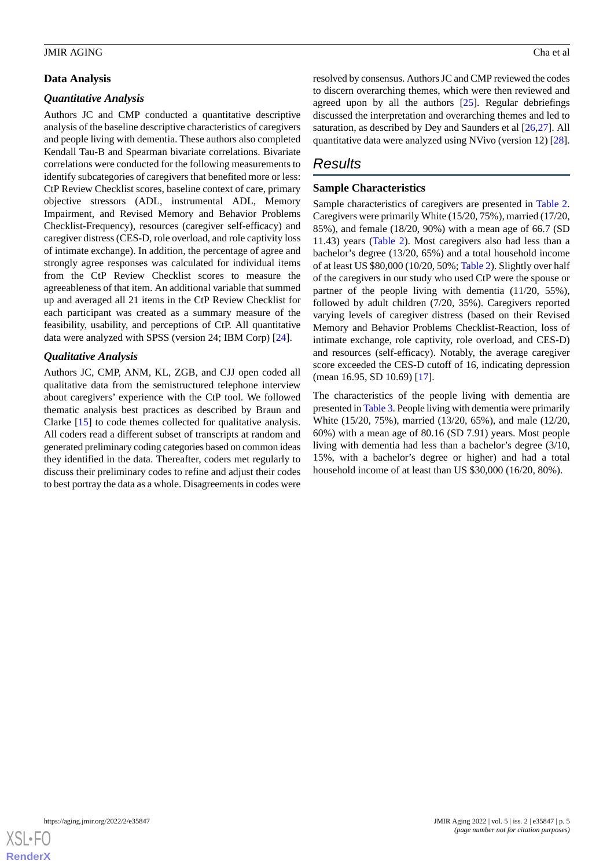### **Data Analysis**

## *Quantitative Analysis*

Authors JC and CMP conducted a quantitative descriptive analysis of the baseline descriptive characteristics of caregivers and people living with dementia. These authors also completed Kendall Tau-B and Spearman bivariate correlations. Bivariate correlations were conducted for the following measurements to identify subcategories of caregivers that benefited more or less: CtP Review Checklist scores, baseline context of care, primary objective stressors (ADL, instrumental ADL, Memory Impairment, and Revised Memory and Behavior Problems Checklist-Frequency), resources (caregiver self-efficacy) and caregiver distress (CES-D, role overload, and role captivity loss of intimate exchange). In addition, the percentage of agree and strongly agree responses was calculated for individual items from the CtP Review Checklist scores to measure the agreeableness of that item. An additional variable that summed up and averaged all 21 items in the CtP Review Checklist for each participant was created as a summary measure of the feasibility, usability, and perceptions of CtP. All quantitative data were analyzed with SPSS (version 24; IBM Corp) [[24\]](#page-11-19).

# *Qualitative Analysis*

Authors JC, CMP, ANM, KL, ZGB, and CJJ open coded all qualitative data from the semistructured telephone interview about caregivers' experience with the CtP tool. We followed thematic analysis best practices as described by Braun and Clarke [[15\]](#page-11-10) to code themes collected for qualitative analysis. All coders read a different subset of transcripts at random and generated preliminary coding categories based on common ideas they identified in the data. Thereafter, coders met regularly to discuss their preliminary codes to refine and adjust their codes to best portray the data as a whole. Disagreements in codes were

resolved by consensus. Authors JC and CMP reviewed the codes to discern overarching themes, which were then reviewed and agreed upon by all the authors  $[25]$  $[25]$ . Regular debriefings discussed the interpretation and overarching themes and led to saturation, as described by Dey and Saunders et al [\[26](#page-11-21),[27\]](#page-11-22). All quantitative data were analyzed using NVivo (version 12) [[28\]](#page-11-23).

# *Results*

# **Sample Characteristics**

Sample characteristics of caregivers are presented in [Table 2](#page-5-0). Caregivers were primarily White (15/20, 75%), married (17/20, 85%), and female (18/20, 90%) with a mean age of 66.7 (SD 11.43) years [\(Table 2](#page-5-0)). Most caregivers also had less than a bachelor's degree (13/20, 65%) and a total household income of at least US \$80,000 (10/20, 50%; [Table 2](#page-5-0)). Slightly over half of the caregivers in our study who used CtP were the spouse or partner of the people living with dementia (11/20, 55%), followed by adult children (7/20, 35%). Caregivers reported varying levels of caregiver distress (based on their Revised Memory and Behavior Problems Checklist-Reaction, loss of intimate exchange, role captivity, role overload, and CES-D) and resources (self-efficacy). Notably, the average caregiver score exceeded the CES-D cutoff of 16, indicating depression (mean 16.95, SD 10.69) [[17\]](#page-11-12).

The characteristics of the people living with dementia are presented in [Table 3.](#page-5-1) People living with dementia were primarily White (15/20, 75%), married (13/20, 65%), and male (12/20, 60%) with a mean age of 80.16 (SD 7.91) years. Most people living with dementia had less than a bachelor's degree (3/10, 15%, with a bachelor's degree or higher) and had a total household income of at least than US \$30,000 (16/20, 80%).

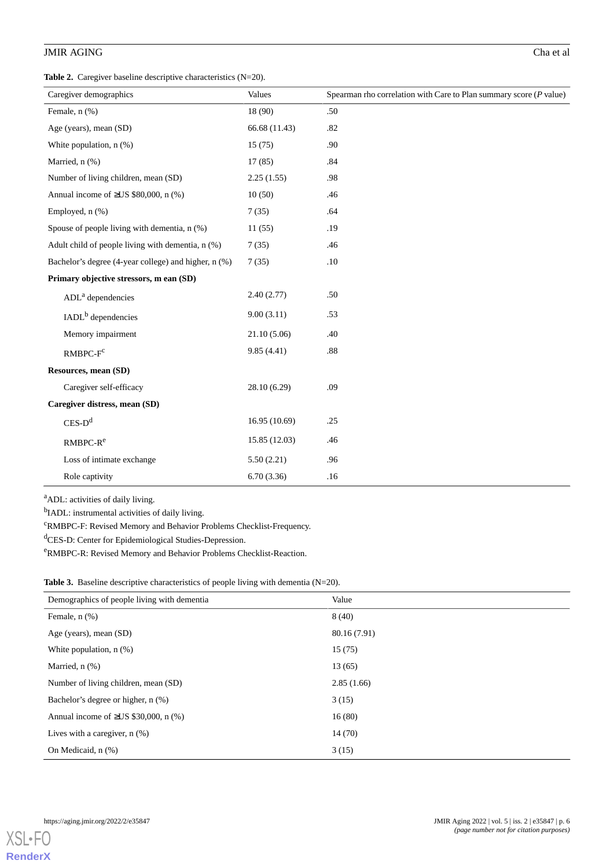<span id="page-5-0"></span>**Table 2.** Caregiver baseline descriptive characteristics (N=20).

| Caregiver demographics                               | Values        | Spearman rho correlation with Care to Plan summary score $(P$ value) |
|------------------------------------------------------|---------------|----------------------------------------------------------------------|
| Female, n (%)                                        | 18 (90)       | .50                                                                  |
|                                                      |               |                                                                      |
| Age (years), mean (SD)                               | 66.68 (11.43) | .82                                                                  |
| White population, n (%)                              | 15(75)        | .90                                                                  |
| Married, n (%)                                       | 17(85)        | .84                                                                  |
| Number of living children, mean (SD)                 | 2.25(1.55)    | .98                                                                  |
| Annual income of $\geq$ US \$80,000, n (%)           | 10(50)        | .46                                                                  |
| Employed, n (%)                                      | 7(35)         | .64                                                                  |
| Spouse of people living with dementia, n (%)         | 11(55)        | .19                                                                  |
| Adult child of people living with dementia, n (%)    | 7(35)         | .46                                                                  |
| Bachelor's degree (4-year college) and higher, n (%) | 7(35)         | .10                                                                  |
| Primary objective stressors, m ean (SD)              |               |                                                                      |
| ADL <sup>a</sup> dependencies                        | 2.40(2.77)    | .50                                                                  |
| IADL <sup>b</sup> dependencies                       | 9.00(3.11)    | .53                                                                  |
| Memory impairment                                    | 21.10(5.06)   | .40                                                                  |
| $RMBPC-Fc$                                           | 9.85(4.41)    | .88                                                                  |
| Resources, mean (SD)                                 |               |                                                                      |
| Caregiver self-efficacy                              | 28.10 (6.29)  | .09                                                                  |
| Caregiver distress, mean (SD)                        |               |                                                                      |
| $CES-D^d$                                            | 16.95 (10.69) | .25                                                                  |
| $RMBPC-Re$                                           | 15.85 (12.03) | .46                                                                  |
| Loss of intimate exchange                            | 5.50(2.21)    | .96                                                                  |
| Role captivity                                       | 6.70(3.36)    | .16                                                                  |

<sup>a</sup>ADL: activities of daily living.

<sup>b</sup>IADL: instrumental activities of daily living.

<span id="page-5-1"></span><sup>c</sup>RMBPC-F: Revised Memory and Behavior Problems Checklist-Frequency.

dCES-D: Center for Epidemiological Studies-Depression.

<sup>e</sup>RMBPC-R: Revised Memory and Behavior Problems Checklist-Reaction.

|  |  |  |  |  | <b>Table 3.</b> Baseline descriptive characteristics of people living with dementia $(N=20)$ . |  |
|--|--|--|--|--|------------------------------------------------------------------------------------------------|--|
|--|--|--|--|--|------------------------------------------------------------------------------------------------|--|

| Demographics of people living with dementia | Value        |
|---------------------------------------------|--------------|
| Female, $n$ $(\%)$                          | 8(40)        |
| Age (years), mean (SD)                      | 80.16 (7.91) |
| White population, $n$ $(\%)$                | 15(75)       |
| Married, $n$ $(\%)$                         | 13(65)       |
| Number of living children, mean (SD)        | 2.85(1.66)   |
| Bachelor's degree or higher, n (%)          | 3(15)        |
| Annual income of $\geq$ US \$30,000, n (%)  | 16(80)       |
| Lives with a caregiver, $n$ $(\%)$          | 14(70)       |
| On Medicaid, n (%)                          | 3(15)        |

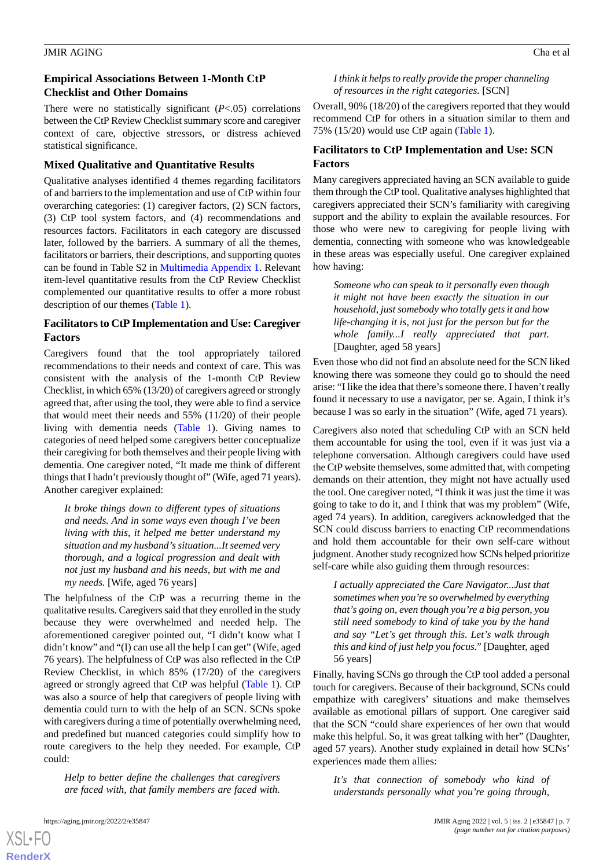## **Empirical Associations Between 1-Month CtP Checklist and Other Domains**

There were no statistically significant (*P*<.05) correlations between the CtP Review Checklist summary score and caregiver context of care, objective stressors, or distress achieved statistical significance.

## **Mixed Qualitative and Quantitative Results**

Qualitative analyses identified 4 themes regarding facilitators of and barriers to the implementation and use of CtP within four overarching categories: (1) caregiver factors, (2) SCN factors, (3) CtP tool system factors, and (4) recommendations and resources factors. Facilitators in each category are discussed later, followed by the barriers. A summary of all the themes, facilitators or barriers, their descriptions, and supporting quotes can be found in Table S2 in [Multimedia Appendix 1.](#page-10-4) Relevant item-level quantitative results from the CtP Review Checklist complemented our quantitative results to offer a more robust description of our themes [\(Table 1\)](#page-3-0).

# **Facilitators to CtP Implementation and Use: Caregiver Factors**

Caregivers found that the tool appropriately tailored recommendations to their needs and context of care. This was consistent with the analysis of the 1-month CtP Review Checklist, in which 65% (13/20) of caregivers agreed or strongly agreed that, after using the tool, they were able to find a service that would meet their needs and 55% (11/20) of their people living with dementia needs [\(Table 1\)](#page-3-0). Giving names to categories of need helped some caregivers better conceptualize their caregiving for both themselves and their people living with dementia. One caregiver noted, "It made me think of different things that I hadn't previously thought of" (Wife, aged 71 years). Another caregiver explained:

*It broke things down to different types of situations and needs. And in some ways even though I've been living with this, it helped me better understand my situation and my husband's situation...It seemed very thorough, and a logical progression and dealt with not just my husband and his needs, but with me and my needs.* [Wife, aged 76 years]

The helpfulness of the CtP was a recurring theme in the qualitative results. Caregivers said that they enrolled in the study because they were overwhelmed and needed help. The aforementioned caregiver pointed out, "I didn't know what I didn't know" and "(I) can use all the help I can get" (Wife, aged 76 years). The helpfulness of CtP was also reflected in the CtP Review Checklist, in which 85% (17/20) of the caregivers agreed or strongly agreed that CtP was helpful ([Table 1\)](#page-3-0). CtP was also a source of help that caregivers of people living with dementia could turn to with the help of an SCN. SCNs spoke with caregivers during a time of potentially overwhelming need, and predefined but nuanced categories could simplify how to route caregivers to the help they needed. For example, CtP could:

*Help to better define the challenges that caregivers are faced with, that family members are faced with.*

[XSL](http://www.w3.org/Style/XSL)•FO **[RenderX](http://www.renderx.com/)**

*I think it helps to really provide the proper channeling*

*of resources in the right categories.* [SCN]

Overall, 90% (18/20) of the caregivers reported that they would recommend CtP for others in a situation similar to them and 75% (15/20) would use CtP again ([Table 1](#page-3-0)).

# **Facilitators to CtP Implementation and Use: SCN Factors**

Many caregivers appreciated having an SCN available to guide them through the CtP tool. Qualitative analyses highlighted that caregivers appreciated their SCN's familiarity with caregiving support and the ability to explain the available resources. For those who were new to caregiving for people living with dementia, connecting with someone who was knowledgeable in these areas was especially useful. One caregiver explained how having:

*Someone who can speak to it personally even though it might not have been exactly the situation in our household, just somebody who totally gets it and how life-changing it is, not just for the person but for the whole family...I really appreciated that part.* [Daughter, aged 58 years]

Even those who did not find an absolute need for the SCN liked knowing there was someone they could go to should the need arise: "I like the idea that there's someone there. I haven't really found it necessary to use a navigator, per se. Again, I think it's because I was so early in the situation" (Wife, aged 71 years).

Caregivers also noted that scheduling CtP with an SCN held them accountable for using the tool, even if it was just via a telephone conversation. Although caregivers could have used the CtP website themselves, some admitted that, with competing demands on their attention, they might not have actually used the tool. One caregiver noted, "I think it was just the time it was going to take to do it, and I think that was my problem" (Wife, aged 74 years). In addition, caregivers acknowledged that the SCN could discuss barriers to enacting CtP recommendations and hold them accountable for their own self-care without judgment. Another study recognized how SCNs helped prioritize self-care while also guiding them through resources:

*I actually appreciated the Care Navigator...Just that sometimes when you're so overwhelmed by everything that's going on, even though you're a big person, you still need somebody to kind of take you by the hand and say "Let's get through this. Let's walk through this and kind of just help you focus."* [Daughter, aged 56 years]

Finally, having SCNs go through the CtP tool added a personal touch for caregivers. Because of their background, SCNs could empathize with caregivers' situations and make themselves available as emotional pillars of support. One caregiver said that the SCN "could share experiences of her own that would make this helpful. So, it was great talking with her" (Daughter, aged 57 years). Another study explained in detail how SCNs' experiences made them allies:

*It's that connection of somebody who kind of understands personally what you're going through,*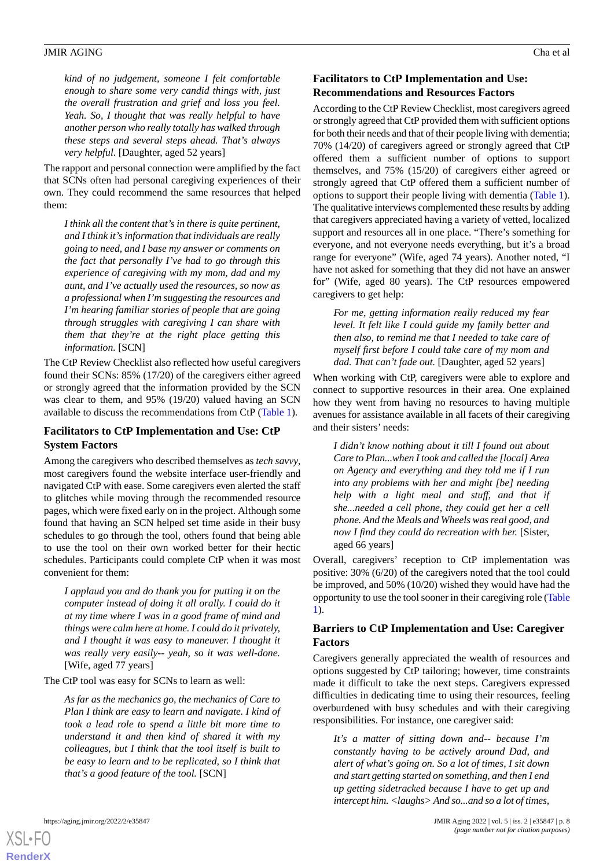*kind of no judgement, someone I felt comfortable enough to share some very candid things with, just the overall frustration and grief and loss you feel. Yeah. So, I thought that was really helpful to have another person who really totally has walked through these steps and several steps ahead. That's always very helpful.* [Daughter, aged 52 years]

The rapport and personal connection were amplified by the fact that SCNs often had personal caregiving experiences of their own. They could recommend the same resources that helped them:

*I think all the content that's in there is quite pertinent, and I think it's information that individuals are really going to need, and I base my answer or comments on the fact that personally I've had to go through this experience of caregiving with my mom, dad and my aunt, and I've actually used the resources, so now as a professional when I'm suggesting the resources and I'm hearing familiar stories of people that are going through struggles with caregiving I can share with them that they're at the right place getting this information.* [SCN]

The CtP Review Checklist also reflected how useful caregivers found their SCNs: 85% (17/20) of the caregivers either agreed or strongly agreed that the information provided by the SCN was clear to them, and 95% (19/20) valued having an SCN available to discuss the recommendations from CtP [\(Table 1\)](#page-3-0).

# **Facilitators to CtP Implementation and Use: CtP System Factors**

Among the caregivers who described themselves as *tech savvy*, most caregivers found the website interface user-friendly and navigated CtP with ease. Some caregivers even alerted the staff to glitches while moving through the recommended resource pages, which were fixed early on in the project. Although some found that having an SCN helped set time aside in their busy schedules to go through the tool, others found that being able to use the tool on their own worked better for their hectic schedules. Participants could complete CtP when it was most convenient for them:

*I applaud you and do thank you for putting it on the computer instead of doing it all orally. I could do it at my time where I was in a good frame of mind and things were calm here at home. I could do it privately, and I thought it was easy to maneuver. I thought it was really very easily-- yeah, so it was well-done.* [Wife, aged 77 years]

The CtP tool was easy for SCNs to learn as well:

*As far as the mechanics go, the mechanics of Care to Plan I think are easy to learn and navigate. I kind of took a lead role to spend a little bit more time to understand it and then kind of shared it with my colleagues, but I think that the tool itself is built to be easy to learn and to be replicated, so I think that that's a good feature of the tool.* [SCN]

# **Facilitators to CtP Implementation and Use: Recommendations and Resources Factors**

According to the CtP Review Checklist, most caregivers agreed or strongly agreed that CtP provided them with sufficient options for both their needs and that of their people living with dementia; 70% (14/20) of caregivers agreed or strongly agreed that CtP offered them a sufficient number of options to support themselves, and 75% (15/20) of caregivers either agreed or strongly agreed that CtP offered them a sufficient number of options to support their people living with dementia [\(Table 1\)](#page-3-0). The qualitative interviews complemented these results by adding that caregivers appreciated having a variety of vetted, localized support and resources all in one place. "There's something for everyone, and not everyone needs everything, but it's a broad range for everyone" (Wife, aged 74 years). Another noted, "I have not asked for something that they did not have an answer for" (Wife, aged 80 years). The CtP resources empowered caregivers to get help:

*For me, getting information really reduced my fear level. It felt like I could guide my family better and then also, to remind me that I needed to take care of myself first before I could take care of my mom and dad. That can't fade out.* [Daughter, aged 52 years]

When working with CtP, caregivers were able to explore and connect to supportive resources in their area. One explained how they went from having no resources to having multiple avenues for assistance available in all facets of their caregiving and their sisters' needs:

*I didn't know nothing about it till I found out about Care to Plan...when I took and called the [local] Area on Agency and everything and they told me if I run into any problems with her and might [be] needing help with a light meal and stuff, and that if she...needed a cell phone, they could get her a cell phone. And the Meals and Wheels was real good, and now I find they could do recreation with her.* [Sister, aged 66 years]

Overall, caregivers' reception to CtP implementation was positive: 30% (6/20) of the caregivers noted that the tool could be improved, and 50% (10/20) wished they would have had the opportunity to use the tool sooner in their caregiving role [\(Table](#page-3-0) [1\)](#page-3-0).

# **Barriers to CtP Implementation and Use: Caregiver Factors**

Caregivers generally appreciated the wealth of resources and options suggested by CtP tailoring; however, time constraints made it difficult to take the next steps. Caregivers expressed difficulties in dedicating time to using their resources, feeling overburdened with busy schedules and with their caregiving responsibilities. For instance, one caregiver said:

*It's a matter of sitting down and-- because I'm constantly having to be actively around Dad, and alert of what's going on. So a lot of times, I sit down and start getting started on something, and then I end up getting sidetracked because I have to get up and intercept him. <laughs> And so...and so a lot of times,*

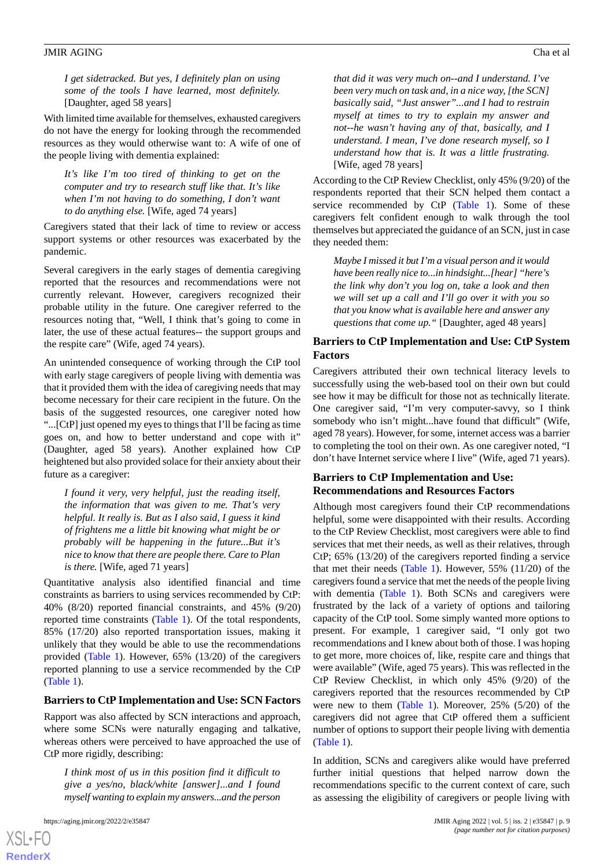*I get sidetracked. But yes, I definitely plan on using some of the tools I have learned, most definitely.* [Daughter, aged 58 years]

With limited time available for themselves, exhausted caregivers do not have the energy for looking through the recommended resources as they would otherwise want to: A wife of one of the people living with dementia explained:

*It's like I'm too tired of thinking to get on the computer and try to research stuff like that. It's like when I'm not having to do something, I don't want to do anything else.* [Wife, aged 74 years]

Caregivers stated that their lack of time to review or access support systems or other resources was exacerbated by the pandemic.

Several caregivers in the early stages of dementia caregiving reported that the resources and recommendations were not currently relevant. However, caregivers recognized their probable utility in the future. One caregiver referred to the resources noting that, "Well, I think that's going to come in later, the use of these actual features-- the support groups and the respite care" (Wife, aged 74 years).

An unintended consequence of working through the CtP tool with early stage caregivers of people living with dementia was that it provided them with the idea of caregiving needs that may become necessary for their care recipient in the future. On the basis of the suggested resources, one caregiver noted how "...[CtP] just opened my eyes to things that I'll be facing as time goes on, and how to better understand and cope with it" (Daughter, aged 58 years). Another explained how CtP heightened but also provided solace for their anxiety about their future as a caregiver:

*I found it very, very helpful, just the reading itself, the information that was given to me. That's very helpful. It really is. But as I also said, I guess it kind of frightens me a little bit knowing what might be or probably will be happening in the future...But it's nice to know that there are people there. Care to Plan is there.* [Wife, aged 71 years]

Quantitative analysis also identified financial and time constraints as barriers to using services recommended by CtP: 40% (8/20) reported financial constraints, and 45% (9/20) reported time constraints ([Table 1](#page-3-0)). Of the total respondents, 85% (17/20) also reported transportation issues, making it unlikely that they would be able to use the recommendations provided [\(Table 1\)](#page-3-0). However, 65% (13/20) of the caregivers reported planning to use a service recommended by the CtP ([Table 1](#page-3-0)).

#### **Barriers to CtP Implementation and Use: SCN Factors**

Rapport was also affected by SCN interactions and approach, where some SCNs were naturally engaging and talkative, whereas others were perceived to have approached the use of CtP more rigidly, describing:

*I think most of us in this position find it difficult to give a yes/no, black/white [answer]...and I found myself wanting to explain my answers...and the person*

*that did it was very much on--and I understand. I've been very much on task and, in a nice way, [the SCN] basically said, "Just answer"...and I had to restrain myself at times to try to explain my answer and not--he wasn't having any of that, basically, and I understand. I mean, I've done research myself, so I understand how that is. It was a little frustrating.* [Wife, aged 78 years]

According to the CtP Review Checklist, only 45% (9/20) of the respondents reported that their SCN helped them contact a service recommended by CtP ([Table 1](#page-3-0)). Some of these caregivers felt confident enough to walk through the tool themselves but appreciated the guidance of an SCN, just in case they needed them:

*Maybe I missed it but I'm a visual person and it would have been really nice to...in hindsight...[hear] "here's the link why don't you log on, take a look and then we will set up a call and I'll go over it with you so that you know what is available here and answer any questions that come up."* [Daughter, aged 48 years]

### **Barriers to CtP Implementation and Use: CtP System Factors**

Caregivers attributed their own technical literacy levels to successfully using the web-based tool on their own but could see how it may be difficult for those not as technically literate. One caregiver said, "I'm very computer-savvy, so I think somebody who isn't might...have found that difficult" (Wife, aged 78 years). However, for some, internet access was a barrier to completing the tool on their own. As one caregiver noted, "I don't have Internet service where I live" (Wife, aged 71 years).

# **Barriers to CtP Implementation and Use: Recommendations and Resources Factors**

Although most caregivers found their CtP recommendations helpful, some were disappointed with their results. According to the CtP Review Checklist, most caregivers were able to find services that met their needs, as well as their relatives, through CtP; 65% (13/20) of the caregivers reported finding a service that met their needs [\(Table 1\)](#page-3-0). However, 55% (11/20) of the caregivers found a service that met the needs of the people living with dementia ([Table 1\)](#page-3-0). Both SCNs and caregivers were frustrated by the lack of a variety of options and tailoring capacity of the CtP tool. Some simply wanted more options to present. For example, 1 caregiver said, "I only got two recommendations and I knew about both of those. I was hoping to get more, more choices of, like, respite care and things that were available" (Wife, aged 75 years). This was reflected in the CtP Review Checklist, in which only 45% (9/20) of the caregivers reported that the resources recommended by CtP were new to them [\(Table 1\)](#page-3-0). Moreover, 25% (5/20) of the caregivers did not agree that CtP offered them a sufficient number of options to support their people living with dementia ([Table 1](#page-3-0)).

In addition, SCNs and caregivers alike would have preferred further initial questions that helped narrow down the recommendations specific to the current context of care, such as assessing the eligibility of caregivers or people living with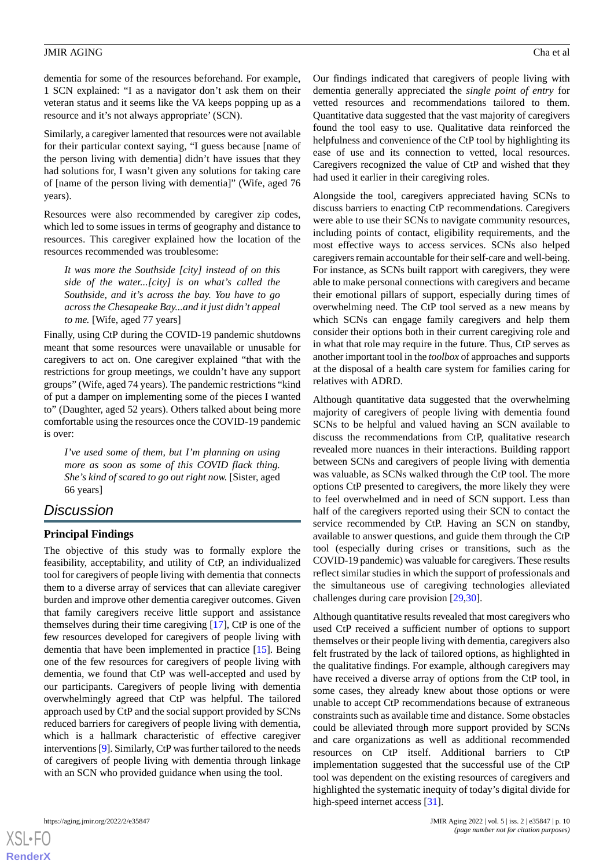dementia for some of the resources beforehand. For example, 1 SCN explained: "I as a navigator don't ask them on their veteran status and it seems like the VA keeps popping up as a resource and it's not always appropriate' (SCN).

Similarly, a caregiver lamented that resources were not available for their particular context saying, "I guess because [name of the person living with dementia] didn't have issues that they had solutions for, I wasn't given any solutions for taking care of [name of the person living with dementia]" (Wife, aged 76 years).

Resources were also recommended by caregiver zip codes, which led to some issues in terms of geography and distance to resources. This caregiver explained how the location of the resources recommended was troublesome:

*It was more the Southside [city] instead of on this side of the water...[city] is on what's called the Southside, and it's across the bay. You have to go across the Chesapeake Bay...and it just didn't appeal to me.* [Wife, aged 77 years]

Finally, using CtP during the COVID-19 pandemic shutdowns meant that some resources were unavailable or unusable for caregivers to act on. One caregiver explained "that with the restrictions for group meetings, we couldn't have any support groups" (Wife, aged 74 years). The pandemic restrictions "kind of put a damper on implementing some of the pieces I wanted to" (Daughter, aged 52 years). Others talked about being more comfortable using the resources once the COVID-19 pandemic is over:

*I've used some of them, but I'm planning on using more as soon as some of this COVID flack thing. She's kind of scared to go out right now.* [Sister, aged 66 years]

# *Discussion*

# **Principal Findings**

The objective of this study was to formally explore the feasibility, acceptability, and utility of CtP, an individualized tool for caregivers of people living with dementia that connects them to a diverse array of services that can alleviate caregiver burden and improve other dementia caregiver outcomes. Given that family caregivers receive little support and assistance themselves during their time caregiving [[17\]](#page-11-12), CtP is one of the few resources developed for caregivers of people living with dementia that have been implemented in practice [[15\]](#page-11-10). Being one of the few resources for caregivers of people living with dementia, we found that CtP was well-accepted and used by our participants. Caregivers of people living with dementia overwhelmingly agreed that CtP was helpful. The tailored approach used by CtP and the social support provided by SCNs reduced barriers for caregivers of people living with dementia, which is a hallmark characteristic of effective caregiver interventions [[9\]](#page-11-4). Similarly, CtP was further tailored to the needs of caregivers of people living with dementia through linkage with an SCN who provided guidance when using the tool.

 $XS$  $\cdot$ FC **[RenderX](http://www.renderx.com/)**

Our findings indicated that caregivers of people living with dementia generally appreciated the *single point of entry* for vetted resources and recommendations tailored to them. Quantitative data suggested that the vast majority of caregivers found the tool easy to use. Qualitative data reinforced the helpfulness and convenience of the CtP tool by highlighting its ease of use and its connection to vetted, local resources. Caregivers recognized the value of CtP and wished that they had used it earlier in their caregiving roles.

Alongside the tool, caregivers appreciated having SCNs to discuss barriers to enacting CtP recommendations. Caregivers were able to use their SCNs to navigate community resources, including points of contact, eligibility requirements, and the most effective ways to access services. SCNs also helped caregivers remain accountable for their self-care and well-being. For instance, as SCNs built rapport with caregivers, they were able to make personal connections with caregivers and became their emotional pillars of support, especially during times of overwhelming need. The CtP tool served as a new means by which SCNs can engage family caregivers and help them consider their options both in their current caregiving role and in what that role may require in the future. Thus, CtP serves as another important tool in the *toolbox* of approaches and supports at the disposal of a health care system for families caring for relatives with ADRD.

Although quantitative data suggested that the overwhelming majority of caregivers of people living with dementia found SCNs to be helpful and valued having an SCN available to discuss the recommendations from CtP, qualitative research revealed more nuances in their interactions. Building rapport between SCNs and caregivers of people living with dementia was valuable, as SCNs walked through the CtP tool. The more options CtP presented to caregivers, the more likely they were to feel overwhelmed and in need of SCN support. Less than half of the caregivers reported using their SCN to contact the service recommended by CtP. Having an SCN on standby, available to answer questions, and guide them through the CtP tool (especially during crises or transitions, such as the COVID-19 pandemic) was valuable for caregivers. These results reflect similar studies in which the support of professionals and the simultaneous use of caregiving technologies alleviated challenges during care provision [[29,](#page-12-0)[30](#page-12-1)].

Although quantitative results revealed that most caregivers who used CtP received a sufficient number of options to support themselves or their people living with dementia, caregivers also felt frustrated by the lack of tailored options, as highlighted in the qualitative findings. For example, although caregivers may have received a diverse array of options from the CtP tool, in some cases, they already knew about those options or were unable to accept CtP recommendations because of extraneous constraints such as available time and distance. Some obstacles could be alleviated through more support provided by SCNs and care organizations as well as additional recommended resources on CtP itself. Additional barriers to CtP implementation suggested that the successful use of the CtP tool was dependent on the existing resources of caregivers and highlighted the systematic inequity of today's digital divide for high-speed internet access [\[31](#page-12-2)].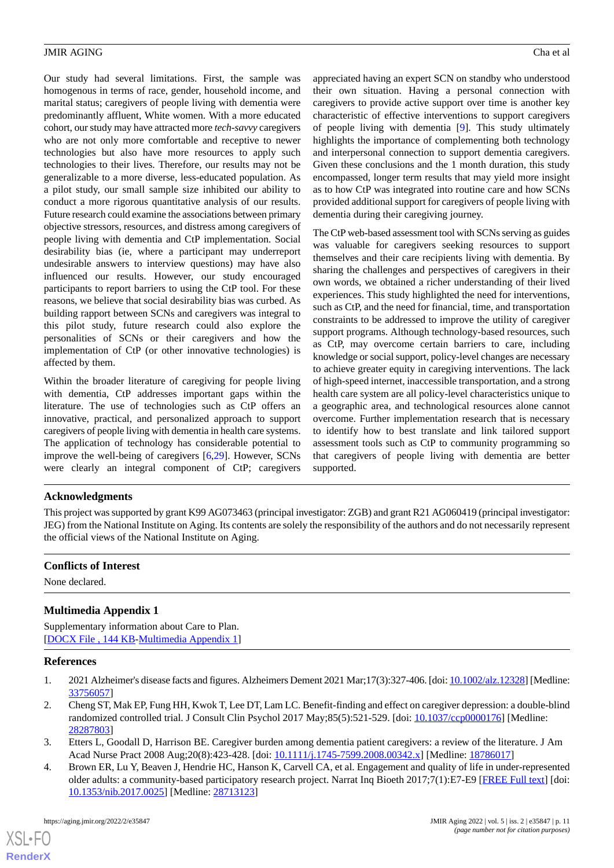Our study had several limitations. First, the sample was homogenous in terms of race, gender, household income, and marital status; caregivers of people living with dementia were predominantly affluent, White women. With a more educated cohort, our study may have attracted more *tech-savvy* caregivers who are not only more comfortable and receptive to newer technologies but also have more resources to apply such technologies to their lives. Therefore, our results may not be generalizable to a more diverse, less-educated population. As a pilot study, our small sample size inhibited our ability to conduct a more rigorous quantitative analysis of our results. Future research could examine the associations between primary objective stressors, resources, and distress among caregivers of people living with dementia and CtP implementation. Social desirability bias (ie, where a participant may underreport undesirable answers to interview questions) may have also influenced our results. However, our study encouraged participants to report barriers to using the CtP tool. For these reasons, we believe that social desirability bias was curbed. As building rapport between SCNs and caregivers was integral to this pilot study, future research could also explore the personalities of SCNs or their caregivers and how the implementation of CtP (or other innovative technologies) is affected by them.

Within the broader literature of caregiving for people living with dementia, CtP addresses important gaps within the literature. The use of technologies such as CtP offers an innovative, practical, and personalized approach to support caregivers of people living with dementia in health care systems. The application of technology has considerable potential to improve the well-being of caregivers [[6,](#page-11-1)[29\]](#page-12-0). However, SCNs were clearly an integral component of CtP; caregivers

appreciated having an expert SCN on standby who understood their own situation. Having a personal connection with caregivers to provide active support over time is another key characteristic of effective interventions to support caregivers of people living with dementia [\[9](#page-11-4)]. This study ultimately highlights the importance of complementing both technology and interpersonal connection to support dementia caregivers. Given these conclusions and the 1 month duration, this study encompassed, longer term results that may yield more insight as to how CtP was integrated into routine care and how SCNs provided additional support for caregivers of people living with dementia during their caregiving journey.

The CtP web-based assessment tool with SCNs serving as guides was valuable for caregivers seeking resources to support themselves and their care recipients living with dementia. By sharing the challenges and perspectives of caregivers in their own words, we obtained a richer understanding of their lived experiences. This study highlighted the need for interventions, such as CtP, and the need for financial, time, and transportation constraints to be addressed to improve the utility of caregiver support programs. Although technology-based resources, such as CtP, may overcome certain barriers to care, including knowledge or social support, policy-level changes are necessary to achieve greater equity in caregiving interventions. The lack of high-speed internet, inaccessible transportation, and a strong health care system are all policy-level characteristics unique to a geographic area, and technological resources alone cannot overcome. Further implementation research that is necessary to identify how to best translate and link tailored support assessment tools such as CtP to community programming so that caregivers of people living with dementia are better supported.

# **Acknowledgments**

This project was supported by grant K99 AG073463 (principal investigator: ZGB) and grant R21 AG060419 (principal investigator: JEG) from the National Institute on Aging. Its contents are solely the responsibility of the authors and do not necessarily represent the official views of the National Institute on Aging.

# <span id="page-10-4"></span>**Conflicts of Interest**

None declared.

# <span id="page-10-0"></span>**Multimedia Appendix 1**

<span id="page-10-1"></span>Supplementary information about Care to Plan. [[DOCX File , 144 KB-Multimedia Appendix 1\]](https://jmir.org/api/download?alt_name=aging_v5i2e35847_app1.docx&filename=3345ba9e8af70552a0ffb1e37443c9e6.docx)

# <span id="page-10-3"></span>**References**

- <span id="page-10-2"></span>1. 2021 Alzheimer's disease facts and figures. Alzheimers Dement 2021 Mar;17(3):327-406. [doi: [10.1002/alz.12328](http://dx.doi.org/10.1002/alz.12328)] [Medline: [33756057](http://www.ncbi.nlm.nih.gov/entrez/query.fcgi?cmd=Retrieve&db=PubMed&list_uids=33756057&dopt=Abstract)]
- 2. Cheng ST, Mak EP, Fung HH, Kwok T, Lee DT, Lam LC. Benefit-finding and effect on caregiver depression: a double-blind randomized controlled trial. J Consult Clin Psychol 2017 May;85(5):521-529. [doi: [10.1037/ccp0000176](http://dx.doi.org/10.1037/ccp0000176)] [Medline: [28287803](http://www.ncbi.nlm.nih.gov/entrez/query.fcgi?cmd=Retrieve&db=PubMed&list_uids=28287803&dopt=Abstract)]
- 3. Etters L, Goodall D, Harrison BE. Caregiver burden among dementia patient caregivers: a review of the literature. J Am Acad Nurse Pract 2008 Aug; 20(8): 423-428. [doi: [10.1111/j.1745-7599.2008.00342.x\]](http://dx.doi.org/10.1111/j.1745-7599.2008.00342.x) [Medline: [18786017](http://www.ncbi.nlm.nih.gov/entrez/query.fcgi?cmd=Retrieve&db=PubMed&list_uids=18786017&dopt=Abstract)]
- 4. Brown ER, Lu Y, Beaven J, Hendrie HC, Hanson K, Carvell CA, et al. Engagement and quality of life in under-represented older adults: a community-based participatory research project. Narrat Inq Bioeth 2017;7(1):E7-E9 [[FREE Full text](https://muse.jhu.edu/article/664731)] [doi: [10.1353/nib.2017.0025](http://dx.doi.org/10.1353/nib.2017.0025)] [Medline: [28713123\]](http://www.ncbi.nlm.nih.gov/entrez/query.fcgi?cmd=Retrieve&db=PubMed&list_uids=28713123&dopt=Abstract)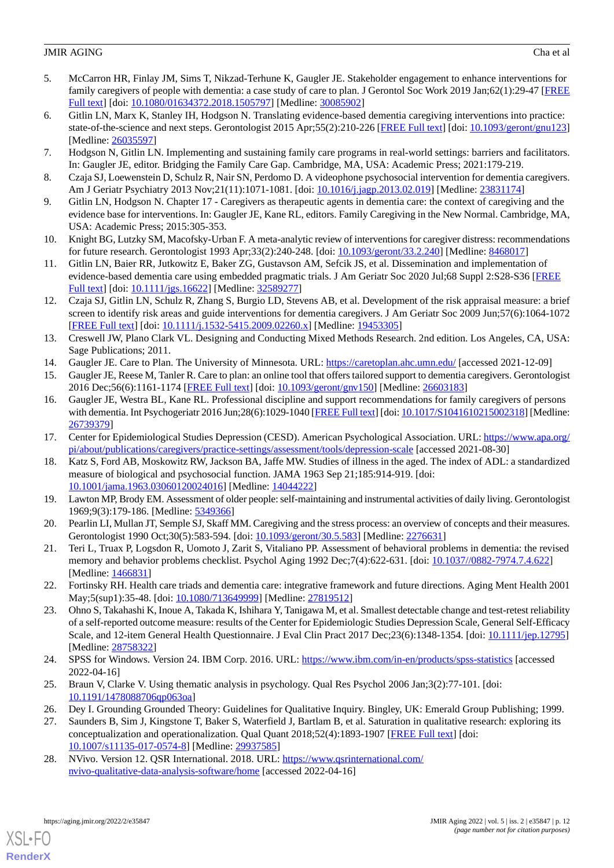- <span id="page-11-0"></span>5. McCarron HR, Finlay JM, Sims T, Nikzad-Terhune K, Gaugler JE. Stakeholder engagement to enhance interventions for family caregivers of people with dementia: a case study of care to plan. J Gerontol Soc Work 2019 Jan;62(1):29-47 [\[FREE](http://europepmc.org/abstract/MED/30085902) [Full text\]](http://europepmc.org/abstract/MED/30085902) [doi: [10.1080/01634372.2018.1505797](http://dx.doi.org/10.1080/01634372.2018.1505797)] [Medline: [30085902](http://www.ncbi.nlm.nih.gov/entrez/query.fcgi?cmd=Retrieve&db=PubMed&list_uids=30085902&dopt=Abstract)]
- <span id="page-11-1"></span>6. Gitlin LN, Marx K, Stanley IH, Hodgson N. Translating evidence-based dementia caregiving interventions into practice: state-of-the-science and next steps. Gerontologist 2015 Apr;55(2):210-226 [\[FREE Full text](http://europepmc.org/abstract/MED/26035597)] [doi: [10.1093/geront/gnu123](http://dx.doi.org/10.1093/geront/gnu123)] [Medline: [26035597](http://www.ncbi.nlm.nih.gov/entrez/query.fcgi?cmd=Retrieve&db=PubMed&list_uids=26035597&dopt=Abstract)]
- <span id="page-11-3"></span><span id="page-11-2"></span>7. Hodgson N, Gitlin LN. Implementing and sustaining family care programs in real-world settings: barriers and facilitators. In: Gaugler JE, editor. Bridging the Family Care Gap. Cambridge, MA, USA: Academic Press; 2021:179-219.
- <span id="page-11-4"></span>8. Czaja SJ, Loewenstein D, Schulz R, Nair SN, Perdomo D. A videophone psychosocial intervention for dementia caregivers. Am J Geriatr Psychiatry 2013 Nov;21(11):1071-1081. [doi: [10.1016/j.jagp.2013.02.019\]](http://dx.doi.org/10.1016/j.jagp.2013.02.019) [Medline: [23831174\]](http://www.ncbi.nlm.nih.gov/entrez/query.fcgi?cmd=Retrieve&db=PubMed&list_uids=23831174&dopt=Abstract)
- <span id="page-11-5"></span>9. Gitlin LN, Hodgson N. Chapter 17 - Caregivers as therapeutic agents in dementia care: the context of caregiving and the evidence base for interventions. In: Gaugler JE, Kane RL, editors. Family Caregiving in the New Normal. Cambridge, MA, USA: Academic Press; 2015:305-353.
- <span id="page-11-6"></span>10. Knight BG, Lutzky SM, Macofsky-Urban F. A meta-analytic review of interventions for caregiver distress: recommendations for future research. Gerontologist 1993 Apr;33(2):240-248. [doi: [10.1093/geront/33.2.240](http://dx.doi.org/10.1093/geront/33.2.240)] [Medline: [8468017](http://www.ncbi.nlm.nih.gov/entrez/query.fcgi?cmd=Retrieve&db=PubMed&list_uids=8468017&dopt=Abstract)]
- <span id="page-11-7"></span>11. Gitlin LN, Baier RR, Jutkowitz E, Baker ZG, Gustavson AM, Sefcik JS, et al. Dissemination and implementation of evidence-based dementia care using embedded pragmatic trials. J Am Geriatr Soc 2020 Jul;68 Suppl 2:S28-S36 [[FREE](http://europepmc.org/abstract/MED/32589277) [Full text\]](http://europepmc.org/abstract/MED/32589277) [doi: [10.1111/jgs.16622\]](http://dx.doi.org/10.1111/jgs.16622) [Medline: [32589277](http://www.ncbi.nlm.nih.gov/entrez/query.fcgi?cmd=Retrieve&db=PubMed&list_uids=32589277&dopt=Abstract)]
- <span id="page-11-8"></span>12. Czaja SJ, Gitlin LN, Schulz R, Zhang S, Burgio LD, Stevens AB, et al. Development of the risk appraisal measure: a brief screen to identify risk areas and guide interventions for dementia caregivers. J Am Geriatr Soc 2009 Jun;57(6):1064-1072 [[FREE Full text](http://europepmc.org/abstract/MED/19453305)] [doi: [10.1111/j.1532-5415.2009.02260.x\]](http://dx.doi.org/10.1111/j.1532-5415.2009.02260.x) [Medline: [19453305\]](http://www.ncbi.nlm.nih.gov/entrez/query.fcgi?cmd=Retrieve&db=PubMed&list_uids=19453305&dopt=Abstract)
- <span id="page-11-10"></span><span id="page-11-9"></span>13. Creswell JW, Plano Clark VL. Designing and Conducting Mixed Methods Research. 2nd edition. Los Angeles, CA, USA: Sage Publications; 2011.
- <span id="page-11-11"></span>14. Gaugler JE. Care to Plan. The University of Minnesota. URL:<https://caretoplan.ahc.umn.edu/> [accessed 2021-12-09]
- 15. Gaugler JE, Reese M, Tanler R. Care to plan: an online tool that offers tailored support to dementia caregivers. Gerontologist 2016 Dec;56(6):1161-1174 [[FREE Full text\]](http://europepmc.org/abstract/MED/26603183) [doi: [10.1093/geront/gnv150](http://dx.doi.org/10.1093/geront/gnv150)] [Medline: [26603183](http://www.ncbi.nlm.nih.gov/entrez/query.fcgi?cmd=Retrieve&db=PubMed&list_uids=26603183&dopt=Abstract)]
- <span id="page-11-13"></span><span id="page-11-12"></span>16. Gaugler JE, Westra BL, Kane RL. Professional discipline and support recommendations for family caregivers of persons with dementia. Int Psychogeriatr 2016 Jun;28(6):1029-1040 [\[FREE Full text\]](http://europepmc.org/abstract/MED/26739379) [doi: [10.1017/S1041610215002318\]](http://dx.doi.org/10.1017/S1041610215002318) [Medline: [26739379](http://www.ncbi.nlm.nih.gov/entrez/query.fcgi?cmd=Retrieve&db=PubMed&list_uids=26739379&dopt=Abstract)]
- <span id="page-11-14"></span>17. Center for Epidemiological Studies Depression (CESD). American Psychological Association. URL: [https://www.apa.org/](https://www.apa.org/pi/about/publications/caregivers/practice-settings/assessment/tools/depression-scale) [pi/about/publications/caregivers/practice-settings/assessment/tools/depression-scale](https://www.apa.org/pi/about/publications/caregivers/practice-settings/assessment/tools/depression-scale) [accessed 2021-08-30]
- <span id="page-11-15"></span>18. Katz S, Ford AB, Moskowitz RW, Jackson BA, Jaffe MW. Studies of illness in the aged. The index of ADL: a standardized measure of biological and psychosocial function. JAMA 1963 Sep 21;185:914-919. [doi: [10.1001/jama.1963.03060120024016](http://dx.doi.org/10.1001/jama.1963.03060120024016)] [Medline: [14044222](http://www.ncbi.nlm.nih.gov/entrez/query.fcgi?cmd=Retrieve&db=PubMed&list_uids=14044222&dopt=Abstract)]
- <span id="page-11-16"></span>19. Lawton MP, Brody EM. Assessment of older people: self-maintaining and instrumental activities of daily living. Gerontologist 1969;9(3):179-186. [Medline: [5349366](http://www.ncbi.nlm.nih.gov/entrez/query.fcgi?cmd=Retrieve&db=PubMed&list_uids=5349366&dopt=Abstract)]
- <span id="page-11-17"></span>20. Pearlin LI, Mullan JT, Semple SJ, Skaff MM. Caregiving and the stress process: an overview of concepts and their measures. Gerontologist 1990 Oct;30(5):583-594. [doi: [10.1093/geront/30.5.583](http://dx.doi.org/10.1093/geront/30.5.583)] [Medline: [2276631](http://www.ncbi.nlm.nih.gov/entrez/query.fcgi?cmd=Retrieve&db=PubMed&list_uids=2276631&dopt=Abstract)]
- <span id="page-11-18"></span>21. Teri L, Truax P, Logsdon R, Uomoto J, Zarit S, Vitaliano PP. Assessment of behavioral problems in dementia: the revised memory and behavior problems checklist. Psychol Aging 1992 Dec;7(4):622-631. [doi: [10.1037//0882-7974.7.4.622\]](http://dx.doi.org/10.1037//0882-7974.7.4.622) [Medline: [1466831\]](http://www.ncbi.nlm.nih.gov/entrez/query.fcgi?cmd=Retrieve&db=PubMed&list_uids=1466831&dopt=Abstract)
- <span id="page-11-19"></span>22. Fortinsky RH. Health care triads and dementia care: integrative framework and future directions. Aging Ment Health 2001 May;5(sup1):35-48. [doi: [10.1080/713649999\]](http://dx.doi.org/10.1080/713649999) [Medline: [27819512\]](http://www.ncbi.nlm.nih.gov/entrez/query.fcgi?cmd=Retrieve&db=PubMed&list_uids=27819512&dopt=Abstract)
- <span id="page-11-20"></span>23. Ohno S, Takahashi K, Inoue A, Takada K, Ishihara Y, Tanigawa M, et al. Smallest detectable change and test-retest reliability of a self-reported outcome measure: results of the Center for Epidemiologic Studies Depression Scale, General Self-Efficacy Scale, and 12-item General Health Questionnaire. J Eval Clin Pract 2017 Dec; 23(6):1348-1354. [doi: [10.1111/jep.12795](http://dx.doi.org/10.1111/jep.12795)] [Medline: [28758322](http://www.ncbi.nlm.nih.gov/entrez/query.fcgi?cmd=Retrieve&db=PubMed&list_uids=28758322&dopt=Abstract)]
- <span id="page-11-22"></span><span id="page-11-21"></span>24. SPSS for Windows. Version 24. IBM Corp. 2016. URL: <https://www.ibm.com/in-en/products/spss-statistics> [accessed 2022-04-16]
- <span id="page-11-23"></span>25. Braun V, Clarke V. Using thematic analysis in psychology. Qual Res Psychol 2006 Jan;3(2):77-101. [doi: [10.1191/1478088706qp063oa](http://dx.doi.org/10.1191/1478088706qp063oa)]
- 26. Dey I. Grounding Grounded Theory: Guidelines for Qualitative Inquiry. Bingley, UK: Emerald Group Publishing; 1999.
- 27. Saunders B, Sim J, Kingstone T, Baker S, Waterfield J, Bartlam B, et al. Saturation in qualitative research: exploring its conceptualization and operationalization. Qual Quant 2018;52(4):1893-1907 [[FREE Full text](http://europepmc.org/abstract/MED/29937585)] [doi: [10.1007/s11135-017-0574-8\]](http://dx.doi.org/10.1007/s11135-017-0574-8) [Medline: [29937585](http://www.ncbi.nlm.nih.gov/entrez/query.fcgi?cmd=Retrieve&db=PubMed&list_uids=29937585&dopt=Abstract)]
- 28. NVivo. Version 12. QSR International. 2018. URL: [https://www.qsrinternational.com/](https://www.qsrinternational.com/nvivo-qualitative-data-analysis-software/home) [nvivo-qualitative-data-analysis-software/home](https://www.qsrinternational.com/nvivo-qualitative-data-analysis-software/home) [accessed 2022-04-16]